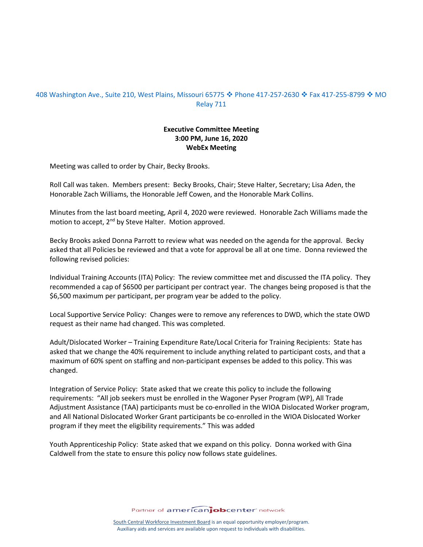## 408 Washington Ave., Suite 210, West Plains, Missouri 65775 � Phone 417-257-2630 � Fax 417-255-8799 � MO Relay 711

## **Executive Committee Meeting 3:00 PM, June 16, 2020 WebEx Meeting**

Meeting was called to order by Chair, Becky Brooks.

Roll Call was taken. Members present: Becky Brooks, Chair; Steve Halter, Secretary; Lisa Aden, the Honorable Zach Williams, the Honorable Jeff Cowen, and the Honorable Mark Collins.

Minutes from the last board meeting, April 4, 2020 were reviewed. Honorable Zach Williams made the motion to accept, 2<sup>nd</sup> by Steve Halter. Motion approved.

Becky Brooks asked Donna Parrott to review what was needed on the agenda for the approval. Becky asked that all Policies be reviewed and that a vote for approval be all at one time. Donna reviewed the following revised policies:

Individual Training Accounts (ITA) Policy: The review committee met and discussed the ITA policy. They recommended a cap of \$6500 per participant per contract year. The changes being proposed is that the \$6,500 maximum per participant, per program year be added to the policy.

Local Supportive Service Policy: Changes were to remove any references to DWD, which the state OWD request as their name had changed. This was completed.

Adult/Dislocated Worker – Training Expenditure Rate/Local Criteria for Training Recipients: State has asked that we change the 40% requirement to include anything related to participant costs, and that a maximum of 60% spent on staffing and non-participant expenses be added to this policy. This was changed.

Integration of Service Policy: State asked that we create this policy to include the following requirements: "All job seekers must be enrolled in the Wagoner Pyser Program (WP), All Trade Adjustment Assistance (TAA) participants must be co-enrolled in the WIOA Dislocated Worker program, and All National Dislocated Worker Grant participants be co-enrolled in the WIOA Dislocated Worker program if they meet the eligibility requirements." This was added

Youth Apprenticeship Policy: State asked that we expand on this policy. Donna worked with Gina Caldwell from the state to ensure this policy now follows state guidelines.

Partner of americanjobcenter network